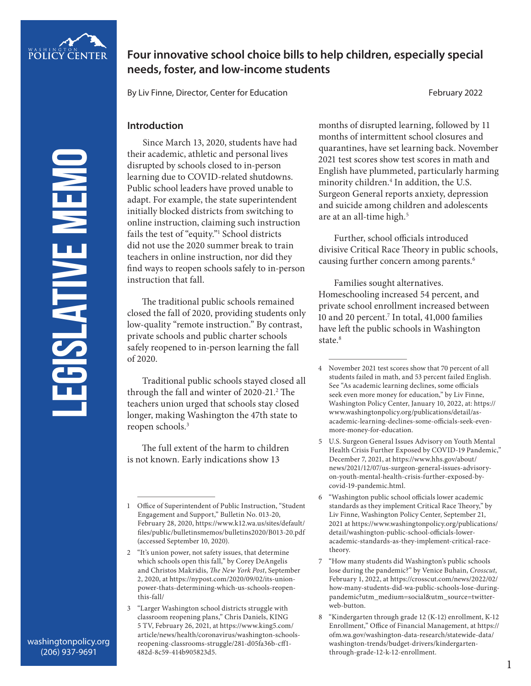

# **Four innovative school choice bills to help children, especially special needs, foster, and low-income students**

By Liv Finne, Director, Center for Education February 2022

### **Introduction**

Since March 13, 2020, students have had their academic, athletic and personal lives disrupted by schools closed to in-person learning due to COVID-related shutdowns. Public school leaders have proved unable to adapt. For example, the state superintendent initially blocked districts from switching to online instruction, claiming such instruction fails the test of "equity."1 School districts did not use the 2020 summer break to train teachers in online instruction, nor did they find ways to reopen schools safely to in-person instruction that fall.

The traditional public schools remained closed the fall of 2020, providing students only low-quality "remote instruction." By contrast, private schools and public charter schools safely reopened to in-person learning the fall of 2020.

Traditional public schools stayed closed all through the fall and winter of 2020-21.<sup>2</sup> The teachers union urged that schools stay closed longer, making Washington the 47th state to reopen schools.3

The full extent of the harm to children is not known. Early indications show 13

months of disrupted learning, followed by 11 months of intermittent school closures and quarantines, have set learning back. November 2021 test scores show test scores in math and English have plummeted, particularly harming minority children.4 In addition, the U.S. Surgeon General reports anxiety, depression and suicide among children and adolescents are at an all-time high.<sup>5</sup>

Further, school officials introduced divisive Critical Race Theory in public schools, causing further concern among parents.<sup>6</sup>

Families sought alternatives. Homeschooling increased 54 percent, and private school enrollment increased between 10 and 20 percent.7 In total, 41,000 families have left the public schools in Washington state.<sup>8</sup>

**LEGISLATIVE MEMO** EGISLATIVE MEM

<sup>1</sup> Office of Superintendent of Public Instruction, "Student Engagement and Support," Bulletin No. 013-20, February 28, 2020, https://www.k12.wa.us/sites/default/ files/public/bulletinsmemos/bulletins2020/B013-20.pdf (accessed September 10, 2020).

<sup>2</sup> "It's union power, not safety issues, that determine which schools open this fall," by Corey DeAngelis and Christos Makridis, *The New York Post*, September 2, 2020, at https://nypost.com/2020/09/02/its-unionpower-thats-determining-which-us-schools-reopenthis-fall/

<sup>3</sup> "Larger Washington school districts struggle with classroom reopening plans," Chris Daniels, KING 5 TV, February 26, 2021, at https://www.king5.com/ article/news/health/coronavirus/washington-schoolsreopening-classrooms-struggle/281-d05fa36b-cff1- 482d-8c59-414b905823d5.

<sup>4</sup> November 2021 test scores show that 70 percent of all students failed in math, and 53 percent failed English. See "As academic learning declines, some officials seek even more money for education," by Liv Finne, Washington Policy Center, January 10, 2022, at: https:// www.washingtonpolicy.org/publications/detail/asacademic-learning-declines-some-officials-seek-evenmore-money-for-education.

<sup>5</sup> U.S. Surgeon General Issues Advisory on Youth Mental Health Crisis Further Exposed by COVID-19 Pandemic," December 7, 2021, at https://www.hhs.gov/about/ news/2021/12/07/us-surgeon-general-issues-advisoryon-youth-mental-health-crisis-further-exposed-bycovid-19-pandemic.html.

<sup>6</sup> "Washington public school officials lower academic standards as they implement Critical Race Theory," by Liv Finne, Washington Policy Center, September 21, 2021 at https://www.washingtonpolicy.org/publications/ detail/washington-public-school-officials-loweracademic-standards-as-they-implement-critical-racetheory.

<sup>7</sup> "How many students did Washington's public schools lose during the pandemic?" by Venice Buhain, *Crosscut*, February 1, 2022, at https://crosscut.com/news/2022/02/ how-many-students-did-wa-public-schools-lose-duringpandemic?utm\_medium=social&utm\_source=twitterweb-button.

<sup>8</sup> "Kindergarten through grade 12 (K-12) enrollment, K-12 Enrollment," Office of Financial Management, at https:// ofm.wa.gov/washington-data-research/statewide-data/ washington-trends/budget-drivers/kindergartenthrough-grade-12-k-12-enrollment.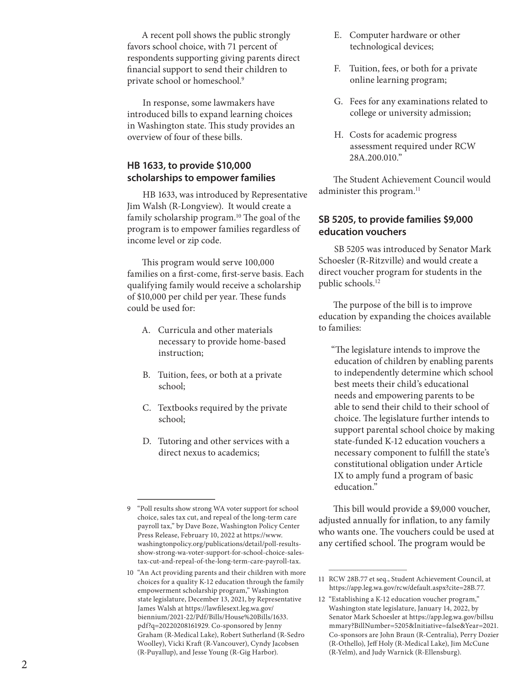A recent poll shows the public strongly favors school choice, with 71 percent of respondents supporting giving parents direct financial support to send their children to private school or homeschool. 9

In response, some lawmakers have introduced bills to expand learning choices in Washington state. This study provides an overview of four of these bills.

## **HB 1633, to provide \$10,000 scholarships to empower families**

HB 1633, was introduced by Representative Jim Walsh (R-Longview). It would create a family scholarship program.<sup>10</sup> The goal of the program is to empower families regardless of income level or zip code.

This program would serve 100,000 families on a first-come, first-serve basis. Each qualifying family would receive a scholarship of \$10,000 per child per year. These funds could be used for:

- A. Curricula and other materials necessary to provide home-based instruction;
- B. Tuition, fees, or both at a private school;
- C. Textbooks required by the private school;
- D. Tutoring and other services with a direct nexus to academics;
- E. Computer hardware or other technological devices;
- F. Tuition, fees, or both for a private online learning program;
- G. Fees for any examinations related to college or university admission;
- H. Costs for academic progress assessment required under RCW 28A.200.010."

The Student Achievement Council would administer this program.<sup>11</sup>

## **SB 5205, to provide families \$9,000 education vouchers**

SB 5205 was introduced by Senator Mark Schoesler (R-Ritzville) and would create a direct voucher program for students in the public schools.<sup>12</sup>

The purpose of the bill is to improve education by expanding the choices available to families:

"The legislature intends to improve the education of children by enabling parents to independently determine which school best meets their child's educational needs and empowering parents to be able to send their child to their school of choice. The legislature further intends to support parental school choice by making state-funded K-12 education vouchers a necessary component to fulfill the state's constitutional obligation under Article IX to amply fund a program of basic education."

This bill would provide a \$9,000 voucher, adjusted annually for inflation, to any family who wants one. The vouchers could be used at any certified school. The program would be

<sup>9</sup> "Poll results show strong WA voter support for school choice, sales tax cut, and repeal of the long-term care payroll tax," by Dave Boze, Washington Policy Center Press Release, February 10, 2022 at https://www. washingtonpolicy.org/publications/detail/poll-resultsshow-strong-wa-voter-support-for-school-choice-salestax-cut-and-repeal-of-the-long-term-care-payroll-tax.

<sup>10</sup> "An Act providing parents and their children with more choices for a quality K-12 education through the family empowerment scholarship program," Washington state legislature, December 13, 2021, by Representative James Walsh at https://lawfilesext.leg.wa.gov/ biennium/2021-22/Pdf/Bills/House%20Bills/1633. pdf?q=20220208161929. Co-sponsored by Jenny Graham (R-Medical Lake), Robert Sutherland (R-Sedro Woolley), Vicki Kraft (R-Vancouver), Cyndy Jacobsen (R-Puyallup), and Jesse Young (R-Gig Harbor).

<sup>11</sup> RCW 28B.77 et seq., Student Achievement Council, at https://app.leg.wa.gov/rcw/default.aspx?cite=28B.77.

<sup>12</sup> "Establishing a K-12 education voucher program," Washington state legislature, January 14, 2022, by Senator Mark Schoesler at https://app.leg.wa.gov/billsu mmary?BillNumber=5205&Initiative=false&Year=2021. Co-sponsors are John Braun (R-Centralia), Perry Dozier (R-Othello), Jeff Holy (R-Medical Lake), Jim McCune (R-Yelm), and Judy Warnick (R-Ellensburg).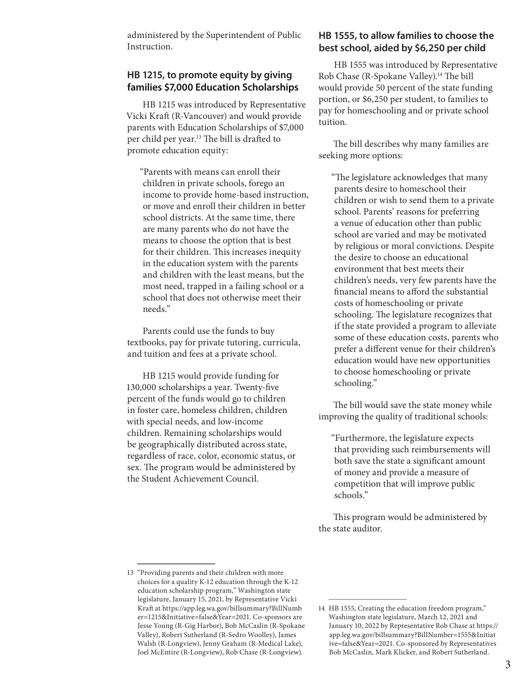administered by the Superintendent of Public Instruction.

### **HB 1215, to promote equity by giving families \$7,000 Education Scholarships**

HB 1215 was introduced by Representative Vicki Kraft (R-Vancouver) and would provide parents with Education Scholarships of \$7,000 per child per year.13 The bill is drafted to promote education equity:

"Parents with means can enroll their children in private schools, forego an income to provide home-based instruction, or move and enroll their children in better school districts. At the same time, there are many parents who do not have the means to choose the option that is best for their children. This increases inequity in the education system with the parents and children with the least means, but the most need, trapped in a failing school or a school that does not otherwise meet their needs."

Parents could use the funds to buy textbooks, pay for private tutoring, curricula, and tuition and fees at a private school.

HB 1215 would provide funding for 130,000 scholarships a year. Twenty-five percent of the funds would go to children in foster care, homeless children, children with special needs, and low-income children. Remaining scholarships would be geographically distributed across state, regardless of race, color, economic status, or sex. The program would be administered by the Student Achievement Council.

## **HB 1555, to allow families to choose the best school, aided by \$6,250 per child**

HB 1555 was introduced by Representative Rob Chase (R-Spokane Valley).<sup>14</sup> The bill would provide 50 percent of the state funding portion, or \$6,250 per student, to families to pay for homeschooling and or private school tuition.

The bill describes why many families are seeking more options:

"The legislature acknowledges that many parents desire to homeschool their children or wish to send them to a private school. Parents' reasons for preferring a venue of education other than public school are varied and may be motivated by religious or moral convictions. Despite the desire to choose an educational environment that best meets their children's needs, very few parents have the financial means to afford the substantial costs of homeschooling or private schooling. The legislature recognizes that if the state provided a program to alleviate some of these education costs, parents who prefer a different venue for their children's education would have new opportunities to choose homeschooling or private schooling."

The bill would save the state money while improving the quality of traditional schools:

"Furthermore, the legislature expects that providing such reimbursements will both save the state a significant amount of money and provide a measure of competition that will improve public schools."

This program would be administered by the state auditor.

<sup>13</sup> "Providing parents and their children with more choices for a quality K-12 education through the K-12 education scholarship program," Washington state legislature, January 15, 2021, by Representative Vicki Kraft at https://app.leg.wa.gov/billsummary?BillNumb er=1215&Initiative=false&Year=2021. Co-sponsors are Jesse Young (R-Gig Harbor), Bob McCaslin (R-Spokane Valley), Robert Sutherland (R-Sedro Woolley), James Walsh (R-Longview), Jenny Graham (R-Medical Lake), Joel McEntire (R-Longview), Rob Chase (R-Longview).

<sup>14</sup> HB 1555, Creating the education freedom program," Washington state legislature, March 12, 2021 and January 10, 2022 by Representative Rob Chase at https:// app.leg.wa.gov/billsummary?BillNumber=1555&Initiat ive=false&Year=2021. Co-sponsored by Representatives Bob McCaslin, Mark Klicker, and Robert Sutherland.